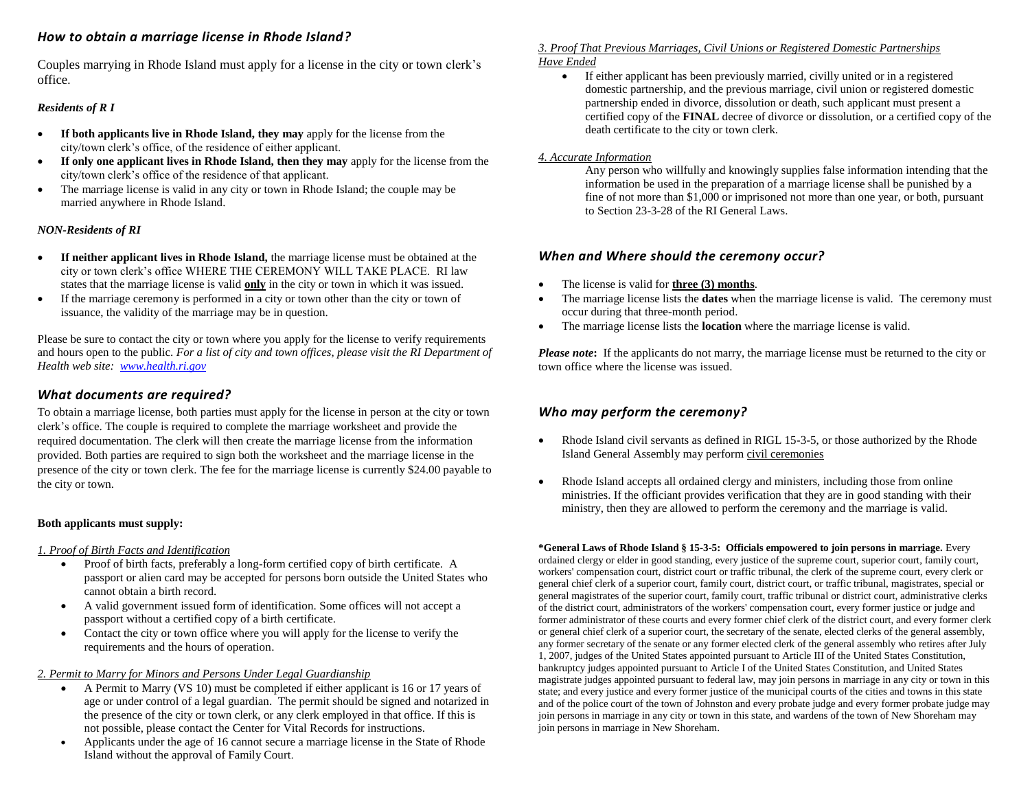## *How to obtain a marriage license in Rhode Island?*

Couples marrying in Rhode Island must apply for a license in the city or town clerk's office.

## *Residents of R I*

- **If both applicants live in Rhode Island, they may** apply for the license from the city/town clerk's office, of the residence of either applicant.
- **If only one applicant lives in Rhode Island, then they may** apply for the license from the city/town clerk's office of the residence of that applicant.
- The marriage license is valid in any city or town in Rhode Island; the couple may be married anywhere in Rhode Island.

## *NON-Residents of RI*

- **If neither applicant lives in Rhode Island,** the marriage license must be obtained at the city or town clerk's office WHERE THE CEREMONY WILL TAKE PLACE. RI law states that the marriage license is valid **only** in the city or town in which it was issued.
- If the marriage ceremony is performed in a city or town other than the city or town of issuance, the validity of the marriage may be in question.

Please be sure to contact the city or town where you apply for the license to verify requirements and hours open to the public. *For a list of city and town offices, please visit the RI Department of Health web site: [www.health.ri.gov](http://www.health.ri.gov/)*

## *What documents are required?*

To obtain a marriage license, both parties must apply for the license in person at the city or town clerk's office. The couple is required to complete the marriage worksheet and provide the required documentation. The clerk will then create the marriage license from the information provided. Both parties are required to sign both the worksheet and the marriage license in the presence of the city or town clerk. The fee for the marriage license is currently \$24.00 payable to the city or town.

#### **Both applicants must supply:**

#### *1. Proof of Birth Facts and Identification*

- Proof of birth facts, preferably a long-form certified copy of birth certificate. A passport or alien card may be accepted for persons born outside the United States who cannot obtain a birth record.
- A valid government issued form of identification. Some offices will not accept a passport without a certified copy of a birth certificate.
- Contact the city or town office where you will apply for the license to verify the requirements and the hours of operation.

#### *2. Permit to Marry for Minors and Persons Under Legal Guardianship*

- A Permit to Marry (VS 10) must be completed if either applicant is 16 or 17 years of age or under control of a legal guardian. The permit should be signed and notarized in the presence of the city or town clerk, or any clerk employed in that office. If this is not possible, please contact the Center for Vital Records for instructions.
- Applicants under the age of 16 cannot secure a marriage license in the State of Rhode Island without the approval of Family Court.

#### *3. Proof That Previous Marriages, Civil Unions or Registered Domestic Partnerships Have Ended*

 If either applicant has been previously married, civilly united or in a registered domestic partnership, and the previous marriage, civil union or registered domestic partnership ended in divorce, dissolution or death, such applicant must present a certified copy of the **FINAL** decree of divorce or dissolution, or a certified copy of the death certificate to the city or town clerk.

#### *4. Accurate Information*

Any person who willfully and knowingly supplies false information intending that the information be used in the preparation of a marriage license shall be punished by a fine of not more than \$1,000 or imprisoned not more than one year, or both, pursuant to Section 23-3-28 of the RI General Laws.

## *When and Where should the ceremony occur?*

- The license is valid for **three (3) months**.
- The marriage license lists the **dates** when the marriage license is valid. The ceremony must occur during that three-month period.
- The marriage license lists the **location** where the marriage license is valid.

*Please note*: If the applicants do not marry, the marriage license must be returned to the city or town office where the license was issued.

# *Who may perform the ceremony?*

- Rhode Island civil servants as defined in RIGL 15-3-5, or those authorized by the Rhode Island General Assembly may perform civil ceremonies
- Rhode Island accepts all ordained clergy and ministers, including those from online ministries. If the officiant provides verification that they are in good standing with their ministry, then they are allowed to perform the ceremony and the marriage is valid.

**\*General Laws of Rhode Island § 15-3-5: Officials empowered to join persons in marriage.** Every ordained clergy or elder in good standing, every justice of the supreme court, superior court, family court, workers' compensation court, district court or traffic tribunal, the clerk of the supreme court, every clerk or general chief clerk of a superior court, family court, district court, or traffic tribunal, magistrates, special or general magistrates of the superior court, family court, traffic tribunal or district court, administrative clerks of the district court, administrators of the workers' compensation court, every former justice or judge and former administrator of these courts and every former chief clerk of the district court, and every former clerk or general chief clerk of a superior court, the secretary of the senate, elected clerks of the general assembly, any former secretary of the senate or any former elected clerk of the general assembly who retires after July 1, 2007, judges of the United States appointed pursuant to Article III of the United States Constitution, bankruptcy judges appointed pursuant to Article I of the United States Constitution, and United States magistrate judges appointed pursuant to federal law, may join persons in marriage in any city or town in this state; and every justice and every former justice of the municipal courts of the cities and towns in this state and of the police court of the town of Johnston and every probate judge and every former probate judge may join persons in marriage in any city or town in this state, and wardens of the town of New Shoreham may join persons in marriage in New Shoreham.